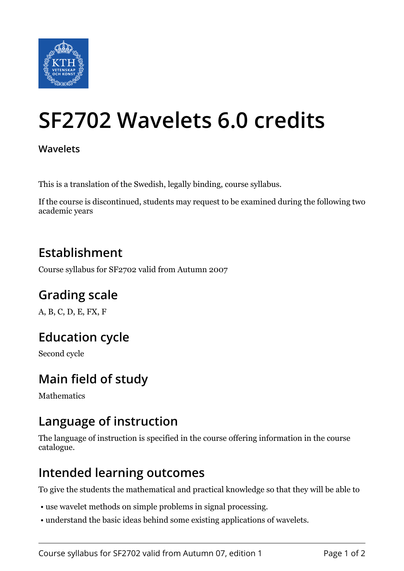

# **SF2702 Wavelets 6.0 credits**

#### **Wavelets**

This is a translation of the Swedish, legally binding, course syllabus.

If the course is discontinued, students may request to be examined during the following two academic years

#### **Establishment**

Course syllabus for SF2702 valid from Autumn 2007

### **Grading scale**

A, B, C, D, E, FX, F

### **Education cycle**

Second cycle

### **Main field of study**

Mathematics

#### **Language of instruction**

The language of instruction is specified in the course offering information in the course catalogue.

#### **Intended learning outcomes**

To give the students the mathematical and practical knowledge so that they will be able to

- use wavelet methods on simple problems in signal processing.
- understand the basic ideas behind some existing applications of wavelets.